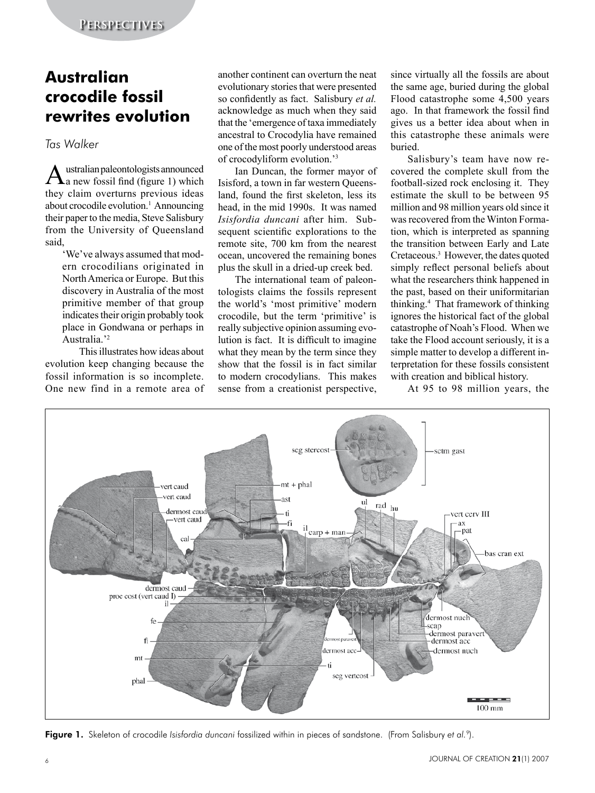## **Australian crocodile fossil rewrites evolution**

## *Tas Walker*

Australian paleontologists announced<br> **A** a new fossil find (figure 1) which they claim overturns previous ideas about crocodile evolution.<sup>1</sup> Announcing their paper to the media, Steve Salisbury from the University of Queensland said,

'We've always assumed that modern crocodilians originated in North America or Europe. But this discovery in Australia of the most primitive member of that group indicates their origin probably took place in Gondwana or perhaps in Australia<sup>'2</sup>

This illustrates how ideas about evolution keep changing because the fossil information is so incomplete. One new find in a remote area of another continent can overturn the neat evolutionary stories that were presented so confidently as fact. Salisbury *et al.* acknowledge as much when they said that the 'emergence of taxa immediately ancestral to Crocodylia have remained one of the most poorly understood areas of crocodyliform evolution.'<sup>3</sup>

Ian Duncan, the former mayor of Isisford, a town in far western Queensland, found the first skeleton, less its head, in the mid 1990s. It was named *Isisfordia duncani* after him. Subsequent scientific explorations to the remote site, 700 km from the nearest ocean, uncovered the remaining bones plus the skull in a dried-up creek bed.

The international team of paleontologists claims the fossils represent the world's 'most primitive' modern crocodile, but the term 'primitive' is really subjective opinion assuming evolution is fact. It is difficult to imagine what they mean by the term since they show that the fossil is in fact similar to modern crocodylians. This makes sense from a creationist perspective,

since virtually all the fossils are about the same age, buried during the global Flood catastrophe some 4,500 years ago. In that framework the fossil find gives us a better idea about when in this catastrophe these animals were buried.

Salisbury's team have now recovered the complete skull from the football-sized rock enclosing it. They estimate the skull to be between 95 million and 98 million years old since it was recovered from the Winton Formation, which is interpreted as spanning the transition between Early and Late Cretaceous.<sup>3</sup> However, the dates quoted simply reflect personal beliefs about what the researchers think happened in the past, based on their uniformitarian thinking.4 That framework of thinking ignores the historical fact of the global catastrophe of Noah's Flood. When we take the Flood account seriously, it is a simple matter to develop a different interpretation for these fossils consistent with creation and biblical history.

At 95 to 98 million years, the



Figure 1. Skeleton of crocodile *Isisfordia duncani* fossilized within in pieces of sandstone. (From Salisbury *et al.*9).